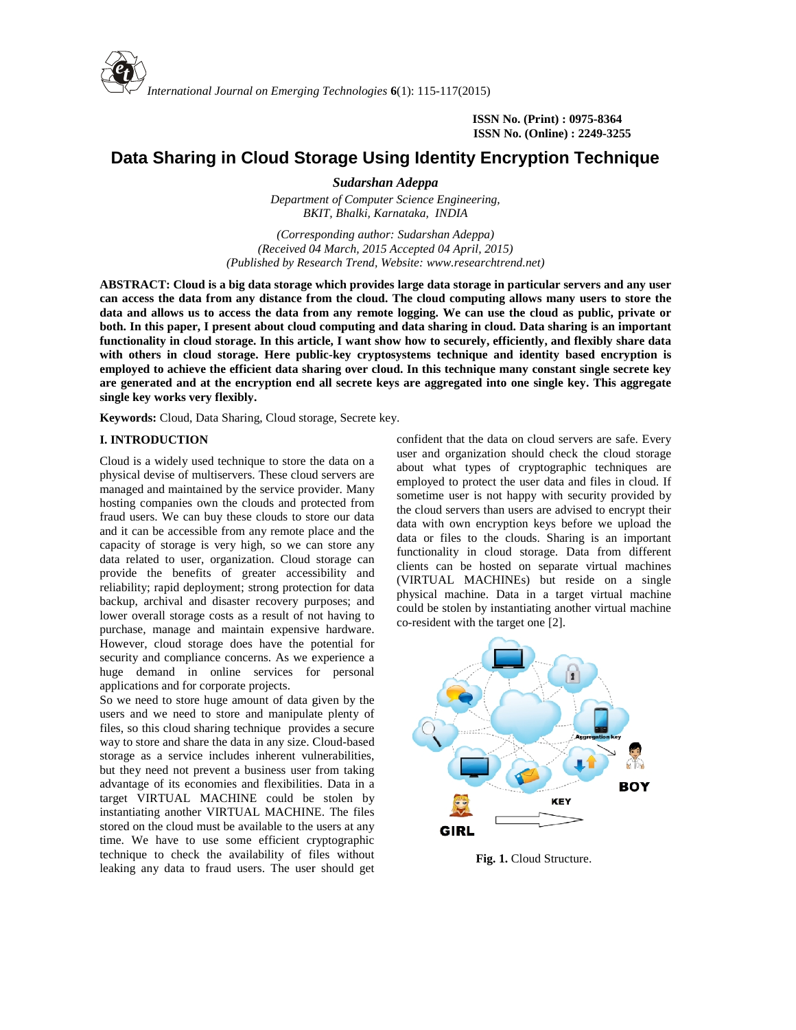

**ISSN No. (Print) : 0975-8364 ISSN No. (Online) : 2249-3255**

# **Data Sharing in Cloud Storage Using Identity Encryption Technique Data Cloud Technique**

*Sudarshan Adeppa*

*Department of Computer Science Engineering, BKIT, Bhalki, Karnataka, INDIA*

*(Corresponding author: Sudarshan Adeppa) (Corresponding author: Sudarshan Adeppa)*<br>(Received 04 March, 2015 Accepted 04 April, 2015) *(Published by Research Trend, Website: [www.researchtrend.net\)](www.researchtrend.net)*

**ABSTRACT: Cloud is a big data storage which provides large data storage in particular servers and any user can access the data from any distance from the cloud. The cloud computing allows many users to store the data and allows us to access the data from any remote logging. We can use the cloud as public, private or both. In this paper, I present about cloud computing and data sharing in cloud. Data sharing is an important functionality in cloud storage. In this article, I want show how to securely, efficiently, and flexibly share data with others in cloud storage. Here public-key cryptosystems technique and identity based encryption is employed to achieve the efficient data sharing over cloud. In this technique many constant single secrete key are generated and at the encryption end all secrete keys are aggregated into one single key. This aggregate single key works very flexibly.** in cloud storage. Here public-key cry<br>achieve the efficient data sharing over<br>d and at the encryption end all secrete<br>prks very flexibly. Laternational Journal on Emerging Technologies 6(1): 115-117(2015)<br>
ISSN No. (Print) : 9975-8364<br>
ISSN No. (Online) : 2249-3258<br>
Data Sharing in Cloud Storage Using Identity Encryption Technique<br>
Summer SNA (Online) : 224

**Keywords:** Cloud, Data Sharing, Cloud storage, Secrete key.

#### **I. INTRODUCTION**

Cloud is a widely used technique to store the data on a physical devise of multiservers. These cloud servers are managed and maintained by the service provider. Many hosting companies own the clouds and protected from fraud users. We can buy these clouds to store our data and it can be accessible from any remote place and the capacity of storage is very high, so we can store any data related to user, organization. Cloud storage can provide the benefits of greater accessibility and reliability; rapid deployment; strong protection for data backup, archival and disaster recovery purposes; and lower overall storage costs as a result of not having to purchase, manage and maintain expensive hardware. However, cloud storage does have the potential for However, cloud storage does have the potential for security and compliance concerns. As we experience a huge demand in online services for personal applications and for corporate projects. **Expoords:** Cloud, Data Sharing, Cloud storage, Secrete key.<br> **Cloud is a widely used technique to store the data on a**<br>
physical devise of multiservers. These cloud servers are<br>
managed and maintained by the service provi **FIRINDOUCTION**<br>
Cloud is a wielly used technique to store the data on a user and organization should check the cloud ste-<br>
Cloud is a wielly used technique to store the data on a shoul what types of cryptographic techniqu

So we need to store huge amount of data given by the users and we need to store and manipulate plenty of files, so this cloud sharing technique provides a secure way to store and share the data in any size. Cloud-based storage as a service includes inherent vulnerabilities, but they need not prevent a business user from taking advantage of its economies and flexibilities. Data in a target VIRTUAL MACHINE could be stolen by instantiating another VIRTUAL MACHINE. The files stored on the cloud must be available to the users at any time. We have to use some efficient cryptographic technique to check the availability of files without leaking any data to fraud users. The user should get and for corporate projects.<br>to store huge amount of data given by the<br>e need to store and manipulate plenty of

confident that the data on cloud servers are safe. Every user and organization should check the cloud storage about what types of cryptographic techniques are employed to protect the user data and files in cloud. If sometime user is not happy with security provided by the cloud servers than users are advised to encrypt their data with own encryption keys before we upload the data or files to the clouds. Sharing is an important functionality in cloud storage. Data from different clients can be hosted on separate virtual machines (VIRTUAL MACHINEs) but reside on a single physical machine. Data in a target virtual machine could be stolen by instantiating another virtual machine co-resident with the target one [2].



**Fig. 1.** Cloud Structure.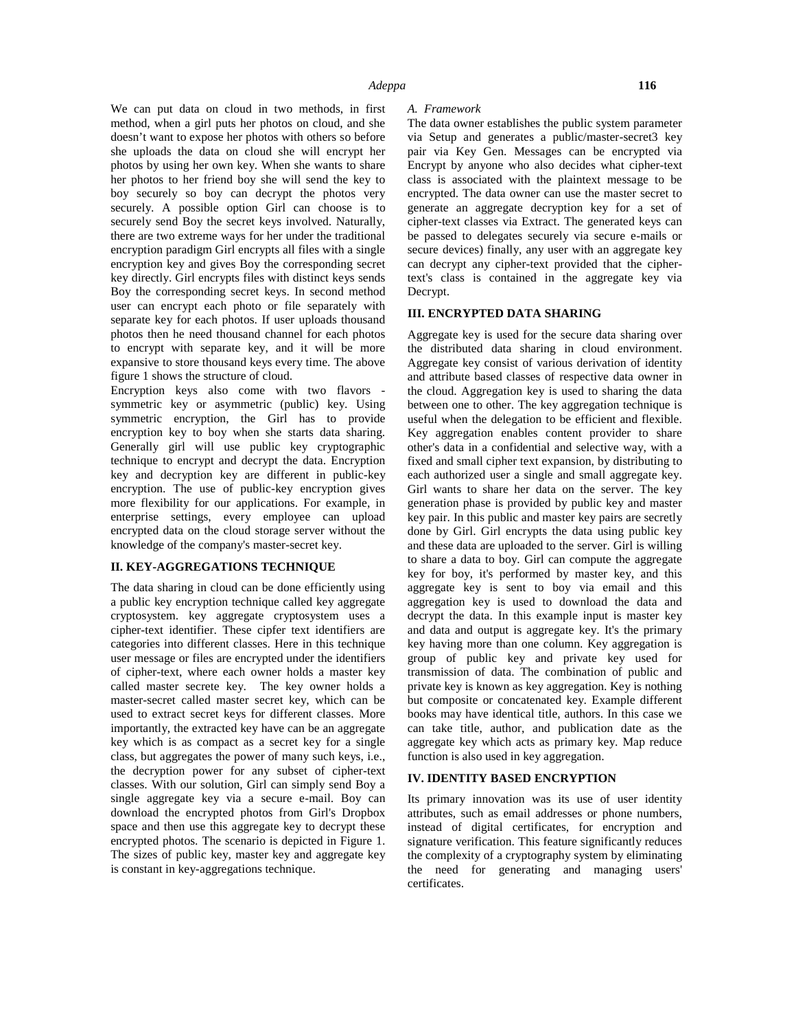We can put data on cloud in two methods, in first method, when a girl puts her photos on cloud, and she doesn't want to expose her photos with others so before she uploads the data on cloud she will encrypt her photos by using her own key. When she wants to share her photos to her friend boy she will send the key to boy securely so boy can decrypt the photos very securely. A possible option Girl can choose is to securely send Boy the secret keys involved. Naturally, there are two extreme ways for her under the traditional encryption paradigm Girl encrypts all files with a single encryption key and gives Boy the corresponding secret key directly. Girl encrypts files with distinct keys sends Boy the corresponding secret keys. In second method user can encrypt each photo or file separately with separate key for each photos. If user uploads thousand photos then he need thousand channel for each photos to encrypt with separate key, and it will be more expansive to store thousand keys every time. The above figure 1 shows the structure of cloud.

Encryption keys also come with two flavors symmetric key or asymmetric (public) key. Using symmetric encryption, the Girl has to provide encryption key to boy when she starts data sharing. Generally girl will use public key cryptographic technique to encrypt and decrypt the data. Encryption key and decryption key are different in public-key encryption. The use of public-key encryption gives more flexibility for our applications. For example, in enterprise settings, every employee can upload encrypted data on the cloud storage server without the knowledge of the company's master-secret key.

#### **II. KEY-AGGREGATIONS TECHNIQUE**

The data sharing in cloud can be done efficiently using a public key encryption technique called key aggregate cryptosystem. key aggregate cryptosystem uses a cipher-text identifier. These cipfer text identifiers are categories into different classes. Here in this technique user message or files are encrypted under the identifiers of cipher-text, where each owner holds a master key called master secrete key. The key owner holds a master-secret called master secret key, which can be used to extract secret keys for different classes. More importantly, the extracted key have can be an aggregate key which is as compact as a secret key for a single class, but aggregates the power of many such keys, i.e., the decryption power for any subset of cipher-text classes. With our solution, Girl can simply send Boy a single aggregate key via a secure e-mail. Boy can download the encrypted photos from Girl's Dropbox space and then use this aggregate key to decrypt these encrypted photos. The scenario is depicted in Figure 1. The sizes of public key, master key and aggregate key is constant in key-aggregations technique.

#### *A. Framework*

The data owner establishes the public system parameter via Setup and generates a public/master-secret3 key pair via Key Gen. Messages can be encrypted via Encrypt by anyone who also decides what cipher-text class is associated with the plaintext message to be encrypted. The data owner can use the master secret to generate an aggregate decryption key for a set of cipher-text classes via Extract. The generated keys can be passed to delegates securely via secure e-mails or secure devices) finally, any user with an aggregate key can decrypt any cipher-text provided that the ciphertext's class is contained in the aggregate key via Decrypt.

### **III. ENCRYPTED DATA SHARING**

Aggregate key is used for the secure data sharing over the distributed data sharing in cloud environment. Aggregate key consist of various derivation of identity and attribute based classes of respective data owner in the cloud. Aggregation key is used to sharing the data between one to other. The key aggregation technique is useful when the delegation to be efficient and flexible. Key aggregation enables content provider to share other's data in a confidential and selective way, with a fixed and small cipher text expansion, by distributing to each authorized user a single and small aggregate key. Girl wants to share her data on the server. The key generation phase is provided by public key and master key pair. In this public and master key pairs are secretly done by Girl. Girl encrypts the data using public key and these data are uploaded to the server. Girl is willing to share a data to boy. Girl can compute the aggregate key for boy, it's performed by master key, and this aggregate key is sent to boy via email and this aggregation key is used to download the data and decrypt the data. In this example input is master key and data and output is aggregate key. It's the primary key having more than one column. Key aggregation is group of public key and private key used for transmission of data. The combination of public and private key is known as key aggregation. Key is nothing but composite or concatenated key. Example different books may have identical title, authors. In this case we can take title, author, and publication date as the aggregate key which acts as primary key. Map reduce function is also used in key aggregation.

#### **IV. IDENTITY BASED ENCRYPTION**

Its primary innovation was its use of user identity attributes, such as email addresses or phone numbers, instead of digital certificates, for encryption and signature verification. This feature significantly reduces the complexity of a cryptography system by eliminating the need for generating and managing users' certificates.